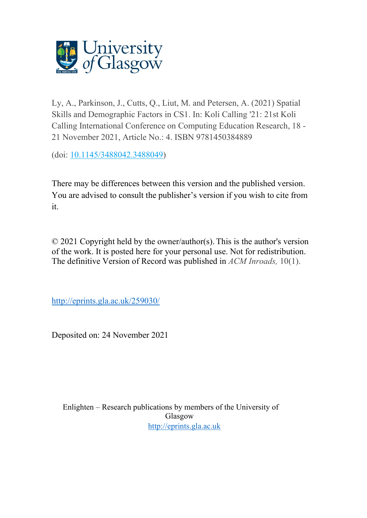

Ly, A., Parkinson, J., Cutts, Q., Liut, M. and Petersen, A. (2021) Spatial Skills and Demographic Factors in CS1. In: Koli Calling '21: 21st Koli Calling International Conference on Computing Education Research, 18 - 21 November 2021, Article No.: 4. ISBN 9781450384889

(doi: [10.1145/3488042.3488049\)](http://dx.doi.org/10.1145/3488042.3488049)

There may be differences between this version and the published version. You are advised to consult the publisher's version if you wish to cite from it.

© 2021 Copyright held by the owner/author(s). This is the author's version of the work. It is posted here for your personal use. Not for redistribution. The definitive Version of Record was published in *ACM Inroads,* 10(1).

<http://eprints.gla.ac.uk/259030/>

Deposited on: 24 November 2021

Enlighten – Research publications by members of the University of Glasgow [http://eprints.gla.ac.uk](http://eprints.gla.ac.uk/)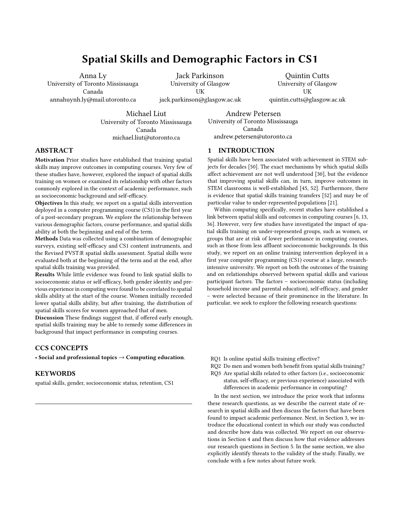# Spatial Skills and Demographic Factors in CS1

Anna Ly

University of Toronto Mississauga Canada annahuynh.ly@mail.utoronto.ca

Jack Parkinson University of Glasgow **UK** jack.parkinson@glasgow.ac.uk

Quintin Cutts University of Glasgow UK quintin.cutts@glasgow.ac.uk

Michael Liut University of Toronto Mississauga Canada michael.liut@utoronto.ca

Andrew Petersen University of Toronto Mississauga Canada andrew.petersen@utoronto.ca

# 1 INTRODUCTION

ABSTRACT

Motivation Prior studies have established that training spatial skills may improve outcomes in computing courses. Very few of these studies have, however, explored the impact of spatial skills training on women or examined its relationship with other factors commonly explored in the context of academic performance, such as socioeconomic background and self-efficacy.

Objectives In this study, we report on a spatial skills intervention deployed in a computer programming course (CS1) in the first year of a post-secondary program. We explore the relationship between various demographic factors, course performance, and spatial skills ability at both the beginning and end of the term.

Methods Data was collected using a combination of demographic surveys, existing self-efficacy and CS1 content instruments, and the Revised PVST:R spatial skills assessment. Spatial skills were evaluated both at the beginning of the term and at the end, after spatial skills training was provided.

Results While little evidence was found to link spatial skills to socioeconomic status or self-efficacy, both gender identity and previous experience in computing were found to be correlated to spatial skills ability at the start of the course. Women initially recorded lower spatial skills ability, but after training, the distribution of spatial skills scores for women approached that of men.

Discussion These findings suggest that, if offered early enough, spatial skills training may be able to remedy some differences in background that impact performance in computing courses.

# CCS CONCEPTS

• Social and professional topics  $\rightarrow$  Computing education.

# **KEYWORDS**

spatial skills, gender, socioeconomic status, retention, CS1

Spatial skills have been associated with achievement in STEM subjects for decades [\[50\]](#page-10-1). The exact mechanisms by which spatial skills affect achievement are not well understood [\[30\]](#page-10-2), but the [e](#page-10-0)vidence [th](https://doi.org/10.1145/3488042.3488049)at improving spatial skills can, in turn, improve outcomes in STEM classrooms is well-established [\[45,](#page-10-3) [52\]](#page-10-4). Furthermore, there is evidence that spatial skills training transfers [\[52\]](#page-10-4) and may be of particular value to under-represented populations [\[21\]](#page-10-5).

Within computing specifically, recent studies have established a link between spatial skills and outcomes in computing courses [\[6,](#page-9-0) [13,](#page-9-1) [36\]](#page-10-6). However, very few studies have investigated the impact of spatial skills training on under-represented groups, such as women, or groups that are at risk of lower performance in computing courses, such as those from less affluent socioeconomic backgrounds. In this study, we report on an online training intervention deployed in a first year computer programming (CS1) course at a large, researchintensive university. We report on both the outcomes of the training and on relationships observed between spatial skills and various participant factors. The factors – socioeconomic status (including household income and parental education), self-efficacy, and gender – were selected because of their prominence in the literature. In particular, we seek to explore the following research questions:

- RQ1 Is online spatial skills training effective?
- RQ2 Do men and women both benefit from spatial skills training?
- RQ3 Are spatial skills related to other factors (i.e., socioeconomic status, self-efficacy, or previous experience) associated with differences in academic performance in computing?

In the next section, we introduce the prior work that informs these research questions, as we describe the current state of research in spatial skills and then discuss the factors that have been found to impact academic performance. Next, in Section [3,](#page-3-0) we introduce the educational context in which our study was conducted and describe how data was collected. We report on our observations in Section [4](#page-5-0) and then discuss how that evidence addresses our research questions in Section [5.](#page-7-0) In the same section, we also explicitly identify threats to the validity of the study. Finally, we conclude with a few notes about future work.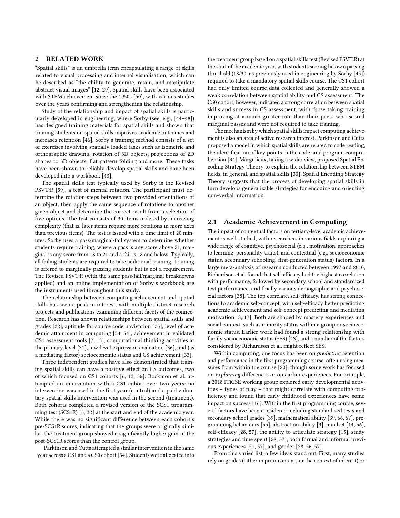# 2 RELATED WORK

"Spatial skills" is an umbrella term encapsulating a range of skills related to visual processing and internal visualisation, which can be described as "the ability to generate, retain, and manipulate abstract visual images" [\[12,](#page-9-2) [29\]](#page-10-7). Spatial skills have been associated with STEM achievement since the 1950s [\[50\],](#page-10-1) with various studies over the years confirming and strengthening the relationship.

Study of the relationship and impact of spatial skills is particularly developed in engineering, where Sorby (see, e.g., [\[44](#page-10-8)[–48\]\)](#page-10-9) has designed training materials for spatial skills and shown that training students on spatial skills improves academic outcomes and increases retention [\[46\]](#page-10-10). Sorby's training method consists of a set of exercises involving spatially loaded tasks such as isometric and orthographic drawing, rotation of 3D objects, projections of 2D shapes to 3D objects, flat pattern folding and more. These tasks have been shown to reliably develop spatial skills and have been developed into a workbook [\[48\].](#page-10-9)

The spatial skills test typically used by Sorby is the Revised PSVT:R [\[59\],](#page-10-11) a test of mental rotation. The participant must determine the rotation steps between two provided orientations of an object, then apply the same sequence of rotations to another given object and determine the correct result from a selection of five options. The test consists of 30 items ordered by increasing complexity (that is, later items require more rotations in more axes than previous items). The test is issued with a time limit of 20 minutes. Sorby uses a pass/marginal/fail system to determine whether students require training, where a pass is any score above 21, marginal is any score from 18 to 21 and a fail is 18 and below. Typically, all failing students are required to take additional training. Training is offered to marginally passing students but is not a requirement. The Revised PSVT:R (with the same pass/fail/marginal breakdowns applied) and an online implementation of Sorby's workbook are the instruments used throughout this study.

The relationship between computing achievement and spatial skills has seen a peak in interest, with multiple distinct research projects and publications examining different facets of the connection. Research has shown relationships between spatial skills and grades [\[22\]](#page-10-12), aptitude for source code navigation [\[23\]](#page-10-13), level of academic attainment in computing [\[34,](#page-10-14) [54\],](#page-10-15) achievement in validated CS1 assessment tools [\[7,](#page-9-3) [13\]](#page-9-1), computational thinking activities at the primary level [\[31\],](#page-10-16) low-level expression evaluation [\[36\],](#page-10-6) and (as a mediating factor) socioeconomic status and CS achievement [\[33\]](#page-10-17).

Three independent studies have also demonstrated that training spatial skills can have a positive effect on CS outcomes, two of which focused on CS1 cohorts [\[6,](#page-9-0) [13,](#page-9-1) [36\]](#page-10-6). Bockmon et al. attempted an intervention with a CS1 cohort over two years: no intervention was used in the first year (control) and a paid voluntary spatial skills intervention was used in the second (treatment). Both cohorts completed a revised version of the SCS1 programming test (SCS1R) [\[5,](#page-9-4) [32\]](#page-10-18) at the start and end of the academic year. While there was no significant difference between each cohort's pre-SCS1R scores, indicating that the groups were originally similar, the treatment group showed a significantly higher gain in the post-SCS1R scores than the control group.

Parkinson and Cutts attempted a similar intervention in the same year across a CS1 and a CS0 cohort[\[34\]](#page-10-14). Students were allocated into the treatment group based on a spatial skills test (Revised PSVT:R) at the start of the academic year, with students scoring below a passing threshold (18/30, as previously used in engineering by Sorby [\[45\]](#page-10-3)) required to take a mandatory spatial skills course. The CS1 cohort had only limited course data collected and generally showed a weak correlation between spatial ability and CS assessment. The CS0 cohort, however, indicated a strong correlation between spatial skills and success in CS assessment, with those taking training improving at a much greater rate than their peers who scored marginal passes and were not required to take training.

The mechanism by which spatial skills impact computing achievement is also an area of active research interest. Parkinson and Cutts proposed a model in which spatial skills are related to code reading, the identification of key points in the code, and program comprehension [\[34\]](#page-10-14). Margulieux, taking a wider view, proposed Spatial Encoding Strategy Theory to explain the relationship between STEM fields, in general, and spatial skills [\[30\]](#page-10-2). Spatial Encoding Strategy Theory suggests that the process of developing spatial skills in turn develops generalizable strategies for encoding and orienting non-verbal information.

#### 2.1 Academic Achievement in Computing

The impact of contextual factors on tertiary-level academic achievement is well-studied, with researchers in various fields exploring a wide range of cognitive, psychosocial (e.g., motivation, approaches to learning, personality traits), and contextual (e.g., socioeconomic status, secondary schooling, first-generation status) factors. In a large meta-analysis of research conducted between 1997 and 2010, Richardson et al. found that self-efficacy had the highest correlation with performance, followed by secondary school and standardized test performance, and finally various demographic and psychosocial factors [\[38\]](#page-10-19). The top correlate, self-efficacy, has strong connections to academic self-concept, with self-efficacy better predicting academic achievement and self-concept predicting and mediating motivation [\[8,](#page-9-5) [17\]](#page-10-20). Both are shaped by mastery experiences and social context, such as minority status within a group or socioeconomic status. Earlier work had found a strong relationship with family socioeconomic status (SES) [\[43\]](#page-10-21), and a number of the factors considered by Richardson et al. might reflect SES.

Within computing, one focus has been on predicting retention and performance in the first programming course, often using measures from within the course [\[20\]](#page-10-22), though some work has focused on explaining differences or on earlier experiences. For example, a 2018 ITiCSE working group explored early developmental activities – types of play – that might correlate with computing proficiency and found that early childhood experiences have some impact on success [\[16\]](#page-9-6). Within the first programming course, several factors have been considered including standardized tests and secondary school grades [\[39\]](#page-10-23), mathematical ability [\[39,](#page-10-23) [56,](#page-10-24) [57\]](#page-10-25), programming behaviours [\[55\]](#page-10-26), abstraction ability [\[3\]](#page-9-7), mindset [\[14,](#page-9-8) [56\]](#page-10-24), self-efficacy [\[28,](#page-10-27) [57\]](#page-10-25), the ability to articulate strategy [\[15\]](#page-9-9), study strategies and time spent [\[28,](#page-10-27) [57\]](#page-10-25), both formal and informal previous experiences [\[51,](#page-10-28) [57\]](#page-10-25), and gender [\[28,](#page-10-27) [56,](#page-10-24) [57\]](#page-10-25).

From this varied list, a few ideas stand out. First, many studies rely on grades (either in prior contexts or the context of interest) or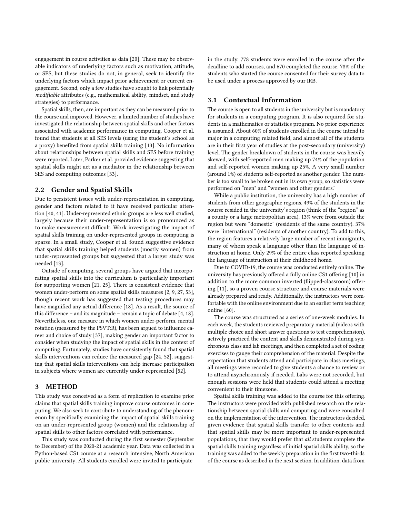engagement in course activities as data [\[20\]](#page-10-22). These may be observable indicators of underlying factors such as motivation, attitude, or SES, but these studies do not, in general, seek to identify the underlying factors which impact prior achievement or current engagement. Second, only a few studies have sought to link potentially modifiable attributes (e.g., mathematical ability, mindset, and study strategies) to performance.

Spatial skills, then, are important as they can be measured prior to the course and improved. However, a limited number of studies have investigated the relationship between spatial skills and other factors associated with academic performance in computing. Cooper et al. found that students at all SES levels (using the student's school as a proxy) benefited from spatial skills training [\[13\]](#page-9-1). No information about relationships between spatial skills and SES before training were reported. Later, Parker et al. provided evidence suggesting that spatial skills might act as a mediator in the relationship between SES and computing outcomes [\[33\].](#page-10-17)

## 2.2 Gender and Spatial Skills

Due to persistent issues with under-representation in computing, gender and factors related to it have received particular attention [\[40,](#page-10-29) [41\].](#page-10-30) Under-represented ethnic groups are less well studied, largely because their under-representation is so pronounced as to make measurement difficult. Work investigating the impact of spatial skills training on under-represented groups in computing is sparse. In a small study, Cooper et al. found suggestive evidence that spatial skills training helped students (mostly women) from under-represented groups but suggested that a larger study was needed [\[13\].](#page-9-1)

Outside of computing, several groups have argued that incorporating spatial skills into the curriculum is particularly important for supporting women [\[21,](#page-10-5) [25\].](#page-10-31) There is consistent evidence that women under-perform on some spatial skills measures [\[2,](#page-9-10) [9,](#page-9-11) [27,](#page-10-32) [53\],](#page-10-33) though recent work has suggested that testing procedures may have magnified any actual difference [\[18\].](#page-10-34) As a result, the source of this difference – and its magnitude – remain a topic of debate [\[4,](#page-9-12) [18\].](#page-10-34) Nevertheless, one measure in which women under-perform, mental rotation (measured by the PSVT:R), has been argued to influence career and choice of study [\[37\]](#page-10-35), making gender an important factor to consider when studying the impact of spatial skills in the context of computing. Fortunately, studies have consistently found that spatial skills interventions can reduce the measured gap [\[24,](#page-10-36) [52\],](#page-10-4) suggesting that spatial skills interventions can help increase participation in subjects where women are currently under-represented [\[52\].](#page-10-4)

#### <span id="page-3-0"></span>3 METHOD

This study was conceived as a form of replication to examine prior claims that spatial skills training improve course outcomes in computing. We also seek to contribute to understanding of the phenomenon by specifically examining the impact of spatial skills training on an under-represented group (women) and the relationship of spatial skills to other factors correlated with performance.

This study was conducted during the first semester (September to December) of the 2020-21 academic year. Data was collected in a Python-based CS1 course at a research intensive, North American public university. All students enrolled were invited to participate

in the study. 778 students were enrolled in the course after the deadline to add courses, and 670 completed the course. 78% of the students who started the course consented for their survey data to be used under a process approved by our IRB.

## <span id="page-3-1"></span>3.1 Contextual Information

The course is open to all students in the university but is mandatory for students in a computing program. It is also required for students in a mathematics or statistics program. No prior experience is assumed. About 60% of students enrolled in the course intend to major in a computing related field, and almost all of the students are in their first year of studies at the post-secondary (university) level. The gender breakdown of students in the course was heavily skewed, with self-reported men making up 74% of the population and self-reported women making up 25%. A very small number (around 1%) of students self-reported as another gender. The number is too small to be broken out in its own group, so statistics were performed on "men" and "women and other genders."

While a public institution, the university has a high number of students from other geographic regions. 49% of the students in the course resided in the university's region (think of the "region" as a county or a large metropolitan area). 13% were from outside the region but were "domestic" (residents of the same country). 37% were "international" (residents of another country). To add to this, the region features a relatively large number of recent immigrants, many of whom speak a language other than the language of instruction at home. Only 29% of the entire class reported speaking the language of instruction at their childhood home.

Due to COVID-19, the course was conducted entirely online. The university has previously offered a fully online CS1 offering [\[10\]](#page-9-13) in addition to the more common inverted (flipped-classroom) offering [\[11\]](#page-9-14), so a proven course structure and course materials were already prepared and ready. Additionally, the instructors were comfortable with the online environment due to an earlier term teaching online [\[60\]](#page-10-37).

The course was structured as a series of one-week modules. In each week, the students reviewed preparatory material (videos with multiple choice and short answer questions to test comprehension), actively practiced the content and skills demonstrated during synchronous class and lab meetings, and then completed a set of coding exercises to gauge their comprehension of the material. Despite the expectation that students attend and participate in class meetings, all meetings were recorded to give students a chance to review or to attend asynchronously if needed. Labs were not recorded, but enough sessions were held that students could attend a meeting convenient to their timezone.

Spatial skills training was added to the course for this offering. The instructors were provided with published research on the relationship between spatial skills and computing and were consulted on the implementation of the intervention. The instructors decided, given evidence that spatial skills transfer to other contexts and that spatial skills may be more important to under-represented populations, that they would prefer that all students complete the spatial skills training regardless of initial spatial skills ability, so the training was added to the weekly preparation in the first two-thirds of the course as described in the next section. In addition, data from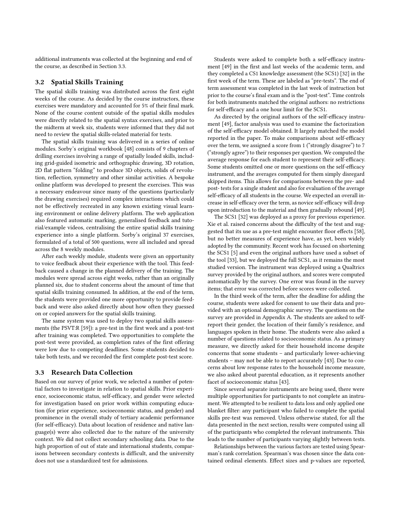additional instruments was collected at the beginning and end of the course, as described in Section [3.3.](#page-4-0)

#### 3.2 Spatial Skills Training

The spatial skills training was distributed across the first eight weeks of the course. As decided by the course instructors, these exercises were mandatory and accounted for 5% of their final mark. None of the course content outside of the spatial skills modules were directly related to the spatial syntax exercises, and prior to the midterm at week six, students were informed that they did not need to review the spatial skills-related material for tests.

The spatial skills training was delivered in a series of online modules. Sorby's original workbook [\[48\]](#page-10-9) consists of 9 chapters of drilling exercises involving a range of spatially loaded skills, including grid-guided isometric and orthographic drawing, 3D rotation, 2D flat pattern "folding" to produce 3D objects, solids of revolution, reflection, symmetry and other similar activities. A bespoke online platform was developed to present the exercises. This was a necessary endeavour since many of the questions (particularly the drawing exercises) required complex interactions which could not be effectively recreated in any known existing visual learning environment or online delivery platform. The web application also featured automatic marking, generalised feedback and tutorial/example videos, centralising the entire spatial skills training experience into a single platform. Sorby's original 37 exercises, formulated of a total of 500 questions, were all included and spread across the 8 weekly modules.

After each weekly module, students were given an opportunity to voice feedback about their experience with the tool. This feedback caused a change in the planned delivery of the training. The modules were spread across eight weeks, rather than an originally planned six, due to student concerns about the amount of time that spatial skills training consumed. In addition, at the end of the term, the students were provided one more opportunity to provide feedback and were also asked directly about how often they guessed on or copied answers for the spatial skills training.

The same system was used to deploy two spatial skills assessments (the PSVT:R [\[59\]\)](#page-10-11): a pre-test in the first week and a post-test after training was completed. Two opportunities to complete the post-test were provided, as completion rates of the first offering were low due to competing deadlines. Some students decided to take both tests, and we recorded the first complete post-test score.

#### <span id="page-4-0"></span>3.3 Research Data Collection

Based on our survey of prior work, we selected a number of potential factors to investigate in relation to spatial skills. Prior experience, socioeconomic status, self-efficacy, and gender were selected for investigation based on prior work within computing education (for prior experience, socioeconomic status, and gender) and prominence in the overall study of tertiary academic performance (for self-efficacy). Data about location of residence and native language(s) were also collected due to the nature of the university context. We did not collect secondary schooling data. Due to the high proportion of out of state and international students, comparisons between secondary contexts is difficult, and the university does not use a standardized test for admissions.

Students were asked to complete both a self-efficacy instrument [\[49\]](#page-10-38) in the first and last weeks of the academic term, and they completed a CS1 knowledge assessment (the SCS1) [\[32\]](#page-10-18) in the first week of the term. These are labeled as "pre-tests". The end of term assessment was completed in the last week of instruction but prior to the course's final exam and is the "post-test". Time controls for both instruments matched the original authors: no restrictions for self-efficacy and a one hour limit for the SCS1.

As directed by the original authors of the self-efficacy instrument [\[49\]](#page-10-38), factor analysis was used to examine the factorization of the self-efficacy model obtained. It largely matched the model reported in the paper. To make comparisons about self-efficacy over the term, we assigned a score from 1 ("strongly disagree") to 7 ("strongly agree") to their responses per question. We computed the average response for each student to represent their self-efficacy. Some students omitted one or more questions on the self-efficacy instrument, and the averages computed for them simply disregard skipped items. This allows for comparisons between the pre- and post- tests for a single student and also for evaluation of the average self-efficacy of all students in the course. We expected an overall increase in self-efficacy over the term, as novice self-efficacy will drop upon introduction to the material and then gradually rebound [\[49\]](#page-10-38).

The SCS1 [\[32\]](#page-10-18) was deployed as a proxy for previous experience. Xie et al. raised concerns about the difficulty of the test and suggested that its use as a pre-test might encounter floor effects [\[58\]](#page-10-39), but no better measures of experience have, as yet, been widely adopted by the community. Recent work has focused on shortening the SCS1 [\[5\]](#page-9-4) and even the original authors have used a subset of the tool [\[33\]](#page-10-17), but we deployed the full SCS1, as it remains the most studied version. The instrument was deployed using a Qualtrics survey provided by the original authors, and scores were computed automatically by the survey. One error was found in the survey items; that error was corrected before scores were collected.

In the third week of the term, after the deadline for adding the course, students were asked for consent to use their data and provided with an optional demographic survey. The questions on the survey are provided in Appendix [A.](#page-9-15) The students are asked to selfreport their gender, the location of their family's residence, and languages spoken in their home. The students were also asked a number of questions related to socioeconomic status. As a primary measure, we directly asked for their household income despite concerns that some students – and particularly lower-achieving students – may not be able to report accurately [\[43\]](#page-10-21). Due to concerns about low response rates to the household income measure, we also asked about parental education, as it represents another facet of socioeconomic status [\[43\]](#page-10-21).

Since several separate instruments are being used, there were multiple opportunities for participants to not complete an instrument. We attempted to be resilient to data loss and only applied one blanket filter: any participant who failed to complete the spatial skills pre-test was removed. Unless otherwise stated, for all the data presented in the next section, results were computed using all of the participants who completed the relevant instruments. This leads to the number of participants varying slightly between tests.

Relationships between the various factors are tested using Spearman's rank correlation. Spearman's was chosen since the data contained ordinal elements. Effect sizes and p-values are reported,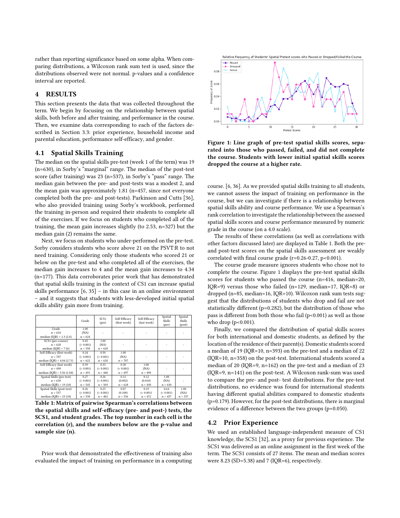rather than reporting significance based on some alpha. When comparing distributions, a Wilcoxon rank sum test is used, since the distributions observed were not normal. p-values and a confidence interval are reported.

## <span id="page-5-0"></span>4 RESULTS

This section presents the data that was collected throughout the term. We begin by focusing on the relationship between spatial skills, both before and after training, and performance in the course. Then, we examine data corresponding to each of the factors described in Section [3.3:](#page-4-0) prior experience, household income and parental education, performance self-efficacy, and gender.

#### <span id="page-5-3"></span>4.1 Spatial Skills Training

The median on the spatial skills pre-test (week 1 of the term) was 19 (n=630), in Sorby's "marginal" range. The median of the post-test score (after training) was 23 (n=537), in Sorby's "pass" range. The median gain between the pre- and post-tests was a modest 2, and the mean gain was approximately 1.81 (n=457, since not everyone completed both the pre- and post-tests). Parkinson and Cutts [\[36\]](#page-10-6), who also provided training using Sorby's workbook, performed the training in-person and required their students to complete all of the exercises. If we focus on students who completed all of the training, the mean gain increases slightly (to 2.53, n=327) but the median gain (2) remains the same.

Next, we focus on students who under-performed on the pre-test. Sorby considers students who score above 21 on the PSVT:R to not need training. Considering only those students who scored 21 or below on the pre-test and who completed all of the exercises, the median gain increases to 4 and the mean gain increases to 4.34 (n=177). This data corroborates prior work that has demonstrated that spatial skills training in the context of CS1 can increase spatial skills performance [\[6,](#page-9-0) [35\]](#page-10-40) – in this case in an online environment – and it suggests that students with less-developed initial spatial skills ability gain more from training.

<span id="page-5-1"></span>

|  |                              | Grade     | SCS <sub>1</sub><br>(pre) | Self-Efficacy<br>(first week) | Self-Efficacy<br>(last week) | Spatial<br>Skills<br>(pre) | Spatial<br>Skills<br>(post) |  |
|--|------------------------------|-----------|---------------------------|-------------------------------|------------------------------|----------------------------|-----------------------------|--|
|  | Grade                        | 1.00      |                           |                               |                              |                            |                             |  |
|  | $n = 624$                    | (NA)      |                           |                               |                              |                            |                             |  |
|  | median $(IOR) = 2.3 (2.6)$   | $n = 624$ |                           |                               |                              |                            |                             |  |
|  | SCS1 (pre-course)            | 0.45      | 1.00                      |                               |                              |                            |                             |  |
|  | $n = 628$                    | (< 0.001) | (NA)                      |                               |                              |                            |                             |  |
|  | median $(IOR) = 7(6)$        | $n = 558$ | $n = 628$                 |                               |                              |                            |                             |  |
|  | Self-Efficacy (first week)   | 0.24      | 0.50                      | 1.00                          |                              |                            |                             |  |
|  | $n = 707$                    | (< 0.001) | (0.001)                   | (NA)                          |                              |                            |                             |  |
|  | median $(IOR) = 4.04 (2.71)$ | $n = 622$ | $n = 628$                 | $n = 707$                     |                              |                            |                             |  |
|  | Self-Efficacy (last week)    | 0.39      | 0.33                      | 0.30                          | 1.00<br>(NA)<br>$n = 498$    |                            |                             |  |
|  | $n = 498$                    | (< 0.001) | (< 0.001)                 | (< 0.001)                     |                              |                            |                             |  |
|  | median (IQR) = $5.56$ (1.04) | $n = 491$ | $n = 448$                 | $n = 497$                     |                              |                            |                             |  |
|  | Spatial Skills (pre-test)    | 0.27      | 0.26                      | 0.12                          | 0.12                         | 1.00                       |                             |  |
|  | $n = 630$                    | (< 0.001) | (< 0.001)                 | (0.002)                       | (0.010)                      | (NA)                       |                             |  |
|  | median $(IOR) = 19(10)$      | $n = 545$ | $n = 569$                 | $n = 628$                     | $n = 430$                    | $n = 630$                  |                             |  |
|  | Spatial Skills (post-test)   | 0.26      | 0.25                      | 0.07                          | 0.19                         | 0.64                       | 1.00                        |  |
|  | $n = 537$                    | (< 0.001) | (< 0.001)                 | (0.108)                       | (< 0.001)                    | (< 0.001)                  |                             |  |
|  | median $(IOR) = 23(10)$      | $n = 530$ | $n = 482$                 | $n = 536$                     | $n = 472$                    | $n = 457$                  | $n = 537$                   |  |

Table 1: Matrix of pairwise Spearman's correlations between the spatial skills and self-efficacy (pre- and post-) tests, the SCS1, and student grades. The top number in each cell is the correlation (r), and the numbers below are the p-value and sample size (n).

Prior work that demonstrated the effectiveness of training also evaluated the impact of training on performance in a computing

<span id="page-5-2"></span>

Figure 1: Line graph of pre-test spatial skills scores, separated into those who passed, failed, and did not complete the course. Students with lower initial spatial skills scores dropped the course at a higher rate.

course. [\[6,](#page-9-0) [36\]](#page-10-6). As we provided spatial skills training to all students, we cannot assess the impact of training on performance in the course, but we can investigate if there is a relationship between spatial skills ability and course performance. We use a Spearman's rank correlation to investigate the relationship between the assessed spatial skills scores and course performance measured by numeric grade in the course (on a 4.0 scale).

The results of these correlations (as well as correlations with other factors discussed later) are displayed in Table [1.](#page-5-1) Both the preand post-test scores on the spatial skills assessment are weakly correlated with final course grade (r=0.26-0.27, p<0.001).

The course grade measure ignores students who chose not to complete the course. Figure [1](#page-5-2) displays the pre-test spatial skills scores for students who passed the course (n=416, median=20, IQR=9) versus those who failed (n=129, median=17, IQR=8) or dropped (n=85, median=16, IQR=10). Wilcoxon rank sum tests suggest that the distributions of students who drop and fail are not statistically different (p=0.282), but the distribution of those who pass is different from both those who fail  $(p<0.001)$  as well as those who drop  $(p<0.001)$ .

Finally, we compared the distribution of spatial skills scores for both international and domestic students, as defined by the location of the residence of their parent(s). Domestic students scored a median of 19 (IQR=10, n=393) on the pre-test and a median of 22 (IQR=10, n=358) on the post-test. International students scored a median of 20 (IQR=9, n=162) on the pre-test and a median of 23 (IQR=9, n=141) on the post-test. A Wilcoxon rank-sum was used to compare the pre- and post- test distributions. For the pre-test distributions, no evidence was found for international students having different spatial abilities compared to domestic students (p=0.179). However, for the post-test distributions, there is marginal evidence of a difference between the two groups (p=0.050).

#### 4.2 Prior Experience

We used an established language-independent measure of CS1 knowledge, the SCS1 [\[32\]](#page-10-18), as a proxy for previous experience. The SCS1 was delivered as an online assignment in the first week of the term. The SCS1 consists of 27 items. The mean and median scores were 8.23 (SD=5.38) and 7 (IQR=6), respectively.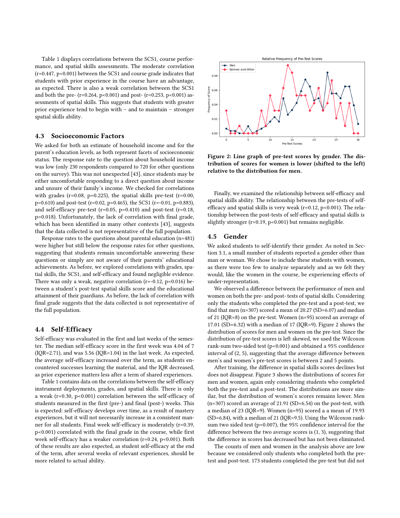Table [1](#page-5-1) displays correlations between the SCS1, course performance, and spatial skills assessments. The moderate correlation  $(r=0.447, p<0.001)$  between the SCS1 and course grade indicates that students with prior experience in the course have an advantage, as expected. There is also a weak correlation between the SCS1 and both the pre- (r=0.264, p<0.001) and post- (r=0.253, p<0.001) assessments of spatial skills. This suggests that students with greater prior experience tend to begin with – and to maintain – stronger spatial skills ability.

## 4.3 Socioeconomic Factors

We asked for both an estimate of household income and for the parent's education levels, as both represent facets of socioeconomic status. The response rate to the question about household income was low (only 230 respondents compared to 720 for other questions on the survey). This was not unexpected [\[43\],](#page-10-21) since students may be either uncomfortable responding to a direct question about income and unsure of their family's income. We checked for correlations with grades ( $r=0.08$ ,  $p=0.225$ ), the spatial skills pre-test ( $r=0.00$ ,  $p=0.610$ ) and post-test (r=0.02, p=0.465), the SCS1 (r=-0.01, p=0.883), and self-efficacy pre-test ( $r=0.05$ ,  $p=0.410$ ) and post-test ( $r=0.18$ , p=0.018). Unfortunately, the lack of correlation with final grade, which has been identified in many other contexts [\[43\],](#page-10-21) suggests that the data collected is not representative of the full population.

Response rates to the questions about parental education (n=481) were higher but still below the response rates for other questions, suggesting that students remain uncomfortable answering these questions or simply are not aware of their parents' educational achievements. As before, we explored correlations with grades, spatial skills, the SCS1, and self-efficacy and found negligible evidence. There was only a weak, negative correlation  $(r=-0.12, p=0.016)$  between a student's post-test spatial skills score and the educational attainment of their guardians. As before, the lack of correlation with final grade suggests that the data collected is not representative of the full population.

#### 4.4 Self-Efficacy

Self-efficacy was evaluated in the first and last weeks of the semester. The median self-efficacy score in the first week was 4.04 of 7 (IQR=2.71), and was 5.56 (IQR=1.04) in the last week. As expected, the average self-efficacy increased over the term, as students encountered successes learning the material, and the IQR decreased, as prior experience matters less after a term of shared experiences.

Table [1](#page-5-1) contains data on the correlations between the self-efficacy instrument deployments, grades, and spatial skills. There is only a weak (r=0.30, p<0.001) correlation between the self-efficacy of students measured in the first (pre-) and final (post-) weeks. This is expected: self-efficacy develops over time, as a result of mastery experiences, but it will not necessarily increase in a consistent manner for all students. Final week self-efficacy is moderately (r=0.39, p<0.001) correlated with the final grade in the course, while first week self-efficacy has a weaker correlation (r=0.24, p<0.001). Both of these results are also expected, as student self-efficacy at the end of the term, after several weeks of relevant experiences, should be more related to actual ability.

<span id="page-6-0"></span>

Figure 2: Line graph of pre-test scores by gender. The distribution of scores for women is lower (shifted to the left) relative to the distribution for men.

Finally, we examined the relationship between self-efficacy and spatial skills ability. The relationship between the pre-tests of selfefficacy and spatial skills is very weak ( $r=0.12$ ,  $p<0.001$ ). The relationship between the post-tests of self-efficacy and spatial skills is slightly stronger (r=0.19, p<0.001) but remains negligible.

#### <span id="page-6-1"></span>4.5 Gender

We asked students to self-identify their gender. As noted in Section [3.1,](#page-3-1) a small number of students reported a gender other than man or woman. We chose to include these students with women, as there were too few to analyze separately and as we felt they would, like the women in the course, be experiencing effects of under-representation.

We observed a difference between the performance of men and women on both the pre- and post- tests of spatial skills. Considering only the students who completed the pre-test and a post-test, we find that men (n=307) scored a mean of 20.27 (SD=6.07) and median of 21 (IQR=8) on the pre-test. Women (n=95) scored an average of 17.01 (SD=6.32) with a median of 17 (IQR=9). Figure [2](#page-6-0) shows the distribution of scores for men and women on the pre-test. Since the distribution of pre-test scores is left skewed, we used the Wilcoxon rank-sum two-sided test (p<0.001) and obtained a 95% confidence interval of (2, 5), suggesting that the average difference between men's and women's pre-test scores is between 2 and 5 points.

After training, the difference in spatial skills scores declines but does not disappear. Figure [3](#page-7-1) shows the distributions of scores for men and women, again only considering students who completed both the pre-test and a post-test. The distributions are more similar, but the distribution of women's scores remains lower. Men (n=307) scored an average of 21.91 (SD=6.54) on the post-test, with a median of 23 (IQR=9). Women (n=95) scored a a mean of 19.93 (SD=6.84), with a median of 21 (IQR=9.5). Using the Wilcoxon ranksum two sided test (p=0.007), the 95% confidence interval for the difference between the two average scores is (1, 3), suggesting that the difference in scores has decreased but has not been eliminated.

The counts of men and women in the analysis above are low because we considered only students who completed both the pretest and post-test. 173 students completed the pre-test but did not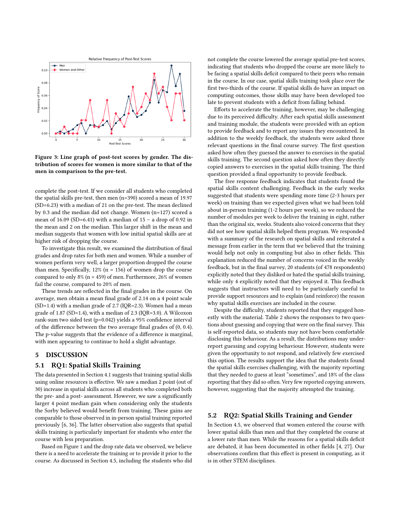<span id="page-7-1"></span>

Figure 3: Line graph of post-test scores by gender. The distribution of scores for women is more similar to that of the men in comparison to the pre-test.

complete the post-test. If we consider all students who completed the spatial skills pre-test, then men (n=390) scored a mean of 19.97 (SD=6.23) with a median of 21 on the pre-test. The mean declined by 0.3 and the median did not change. Women (n=127) scored a mean of  $16.09$  (SD=6.41) with a median of  $15 - a$  drop of 0.92 in the mean and 2 on the median. This larger shift in the mean and median suggests that women with low initial spatial skills are at higher risk of dropping the course.

To investigate this result, we examined the distribution of final grades and drop rates for both men and women. While a number of women perform very well, a larger proportion dropped the course than men. Specifically,  $12\%$  (n = 156) of women drop the course compared to only 8% ( $n = 459$ ) of men. Furthermore, 26% of women fail the course, compared to 20% of men.

These trends are reflected in the final grades in the course. On average, men obtain a mean final grade of 2.14 on a 4 point scale (SD=1.4) with a median grade of 2.7 (IQR=2.3). Women had a mean grade of 1.87 (SD=1.4), with a median of 2.3 (IQR=3.0). A Wilcoxon rank-sum two sided test (p=0.042) yields a 95% confidence interval of the difference between the two average final grades of (0, 0.4). The p-value suggests that the evidence of a difference is marginal, with men appearing to continue to hold a slight advantage.

## <span id="page-7-0"></span>5 DISCUSSION

#### 5.1 RQ1: Spatial Skills Training

The data presented in Section [4.1](#page-5-3) suggests that training spatial skills using online resources is effective. We saw a median 2 point (out of 30) increase in spatial skills across all students who completed both the pre- and a post- assessment. However, we saw a significantly larger 4 point median gain when considering only the students the Sorby believed would benefit from training. These gains are comparable to those observed in in-person spatial training reported previously [\[6,](#page-9-0) [36\]](#page-10-6). The latter observation also suggests that spatial skills training is particularly important for students who enter the course with less preparation.

Based on Figure [1](#page-5-2) and the drop rate data we observed, we believe there is a need to accelerate the training or to provide it prior to the course. As discussed in Section [4.5,](#page-6-1) including the students who did not complete the course lowered the average spatial pre-test scores, indicating that students who dropped the course are more likely to be facing a spatial skills deficit compared to their peers who remain in the course. In our case, spatial skills training took place over the first two-thirds of the course. If spatial skills do have an impact on computing outcomes, those skills may have been developed too late to prevent students with a deficit from falling behind.

Efforts to accelerate the training, however, may be challenging due to its perceived difficulty. After each spatial skills assessment and training module, the students were provided with an option to provide feedback and to report any issues they encountered. In addition to the weekly feedback, the students were asked three relevant questions in the final course survey. The first question asked how often they guessed the answer to exercises in the spatial skills training. The second question asked how often they directly copied answers to exercises in the spatial skills training. The third question provided a final opportunity to provide feedback.

The free response feedback indicates that students found the spatial skills content challenging. Feedback in the early weeks suggested that students were spending more time (2-3 hours per week) on training than we expected given what we had been told about in-person training (1-2 hours per week), so we reduced the number of modules per week to deliver the training in eight, rather than the original six, weeks. Students also voiced concerns that they did not see how spatial skills helped them program. We responded with a summary of the research on spatial skills and reiterated a message from earlier in the term that we believed that the training would help not only in computing but also in other fields. This explanation reduced the number of concerns voiced in the weekly feedback, but in the final survey, 20 students (of 478 respondents) explicitly noted that they disliked or hated the spatial skills training, while only 4 explicitly noted that they enjoyed it. This feedback suggests that instructors will need to be particularly careful to provide support resources and to explain (and reinforce) the reason why spatial skills exercises are included in the course.

Despite the difficulty, students reported that they engaged honestly with the material. Table [2](#page-8-0) shows the responses to two questions about guessing and copying that were on the final survey. This is self-reported data, so students may not have been comfortable disclosing this behaviour. As a result, the distributions may underreport guessing and copying behaviour. However, students were given the opportunity to not respond, and relatively few exercised this option. The results support the idea that the students found the spatial skills exercises challenging, with the majority reporting that they needed to guess at least "sometimes", and 18% of the class reporting that they did so often. Very few reported copying answers, however, suggesting that the majority attempted the training.

# 5.2 RQ2: Spatial Skills Training and Gender

In Section [4.5,](#page-6-1) we observed that women entered the course with lower spatial skills than men and that they completed the course at a lower rate than men. While the reasons for a spatial skills deficit are debated, it has been documented in other fields [\[4,](#page-9-12) [27\]](#page-10-32). Our observations confirm that this effect is present in computing, as it is in other STEM disciplines.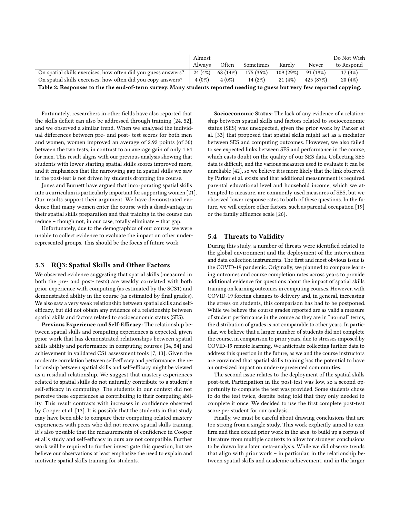<span id="page-8-0"></span>

|                                                                                                                          | Almost  |          |           |          |            | Do Not Wish |  |  |  |  |
|--------------------------------------------------------------------------------------------------------------------------|---------|----------|-----------|----------|------------|-------------|--|--|--|--|
|                                                                                                                          | Always  | Often    | Sometimes | Rarely   | Never      | to Respond  |  |  |  |  |
| On spatial skills exercises, how often did you guess answers?                                                            | 24 (4%) | 68 (14%) | 175 (36%) | 109(29%) | $91(18\%)$ | 17(3%)      |  |  |  |  |
| On spatial skills exercises, how often did you copy answers?                                                             |         | $4(0\%)$ | 14(2%)    | 21 (4%)  | 425 (87%)  | 20(4%)      |  |  |  |  |
| Table 2: Responses to the the end-of-term survey. Many students reported needing to guess but very few reported copying. |         |          |           |          |            |             |  |  |  |  |

Fortunately, researchers in other fields have also reported that the skills deficit can also be addressed through training [\[24,](#page-10-36) [52\]](#page-10-4), and we observed a similar trend. When we analysed the individual differences between pre- and post- test scores for both men and women, women improved an average of 2.92 points (of 30) between the two tests, in contrast to an average gain of only 1.64 for men. This result aligns with our previous analysis showing that students with lower starting spatial skills scores improved more, and it emphasizes that the narrowing gap in spatial skills we saw in the post-test is not driven by students dropping the course.

Jones and Burnett have argued that incorporating spatial skills into a curriculum is particularly important for supporting women [\[21\]](#page-10-5). Our results support their argument. We have demonstrated evidence that many women enter the course with a disadvantage in their spatial skills preparation and that training in the course can reduce – though not, in our case, totally eliminate – that gap.

Unfortunately, due to the demographics of our course, we were unable to collect evidence to evaluate the impact on other underrepresented groups. This should be the focus of future work.

#### 5.3 RQ3: Spatial Skills and Other Factors

We observed evidence suggesting that spatial skills (measured in both the pre- and post- tests) are weakly correlated with both prior experience with computing (as estimated by the SCS1) and demonstrated ability in the course (as estimated by final grades). We also saw a very weak relationship between spatial skills and selfefficacy, but did not obtain any evidence of a relationship between spatial skills and factors related to socioeconomic status (SES).

Previous Experience and Self-Efficacy: The relationship between spatial skills and computing experiences is expected, given prior work that has demonstrated relationships between spatial skills ability and performance in computing courses [\[34,](#page-10-14) [54\]](#page-10-15) and achievement in validated CS1 assessment tools [\[7,](#page-9-3) [13\]](#page-9-1). Given the moderate correlation between self-efficacy and performance, the relationship between spatial skills and self-efficacy might be viewed as a residual relationship. We suggest that mastery experiences related to spatial skills do not naturally contribute to a student's self-efficacy in computing. The students in our context did not perceive these experiences as contributing to their computing ability. This result contrasts with increases in confidence observed by Cooper et al. [\[13\]](#page-9-1). It is possible that the students in that study may have been able to compare their computing-related mastery experiences with peers who did not receive spatial skills training. It's also possible that the measurements of confidence in Cooper et al.'s study and self-efficacy in ours are not compatible. Further work will be required to further investigate this question, but we believe our observations at least emphasize the need to explain and motivate spatial skills training for students.

Socioeconomic Status: The lack of any evidence of a relationship between spatial skills and factors related to socioeconomic status (SES) was unexpected, given the prior work by Parker et al. [\[33\]](#page-10-17) that proposed that spatial skills might act as a mediator between SES and computing outcomes. However, we also failed to see expected links between SES and performance in the course, which casts doubt on the quality of our SES data. Collecting SES data is difficult, and the various measures used to evaluate it can be unreliable [\[42\]](#page-10-41), so we believe it is more likely that the link observed by Parker et al. exists and that additional measurement is required. parental educational level and household income, which we attempted to measure, are commonly used measures of SES, but we observed lower response rates to both of these questions. In the future, we will explore other factors, such as parental occupation [\[19\]](#page-10-42) or the family affluence scale [\[26\]](#page-10-43).

# 5.4 Threats to Validity

During this study, a number of threats were identified related to the global environment and the deployment of the intervention and data collection instruments. The first and most obvious issue is the COVID-19 pandemic. Originally, we planned to compare learning outcomes and course completion rates across years to provide additional evidence for questions about the impact of spatial skills training on learning outcomes in computing courses. However, with COVID-19 forcing changes to delivery and, in general, increasing the stress on students, this comparison has had to be postponed. While we believe the course grades reported are as valid a measure of student performance in the course as they are in "normal" terms, the distribution of grades is not comparable to other years. In particular, we believe that a larger number of students did not complete the course, in comparison to prior years, due to stresses imposed by COVID-19 remote learning. We anticipate collecting further data to address this question in the future, as we and the course instructors are convinced that spatial skills training has the potential to have an out-sized impact on under-represented communities.

The second issue relates to the deployment of the spatial skills post-test. Participation in the post-test was low, so a second opportunity to complete the test was provided. Some students chose to do the test twice, despite being told that they only needed to complete it once. We decided to use the first complete post-test score per student for our analysis.

Finally, we must be careful about drawing conclusions that are too strong from a single study. This work explicitly aimed to confirm and then extend prior work in the area, to build up a corpus of literature from multiple contexts to allow for stronger conclusions to be drawn by a later meta-analysis. While we did observe trends that align with prior work – in particular, in the relationship between spatial skills and academic achievement, and in the larger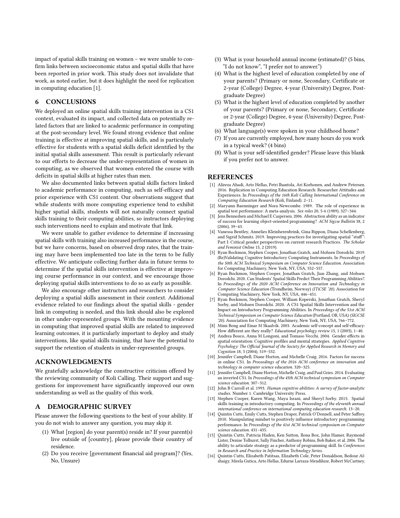impact of spatial skills training on women – we were unable to confirm links between socioeconomic status and spatial skills that have been reported in prior work. This study does not invalidate that work, as noted earlier, but it does highlight the need for replication in computing education [\[1\]](#page-9-16).

# 6 CONCLUSIONS

We deployed an online spatial skills training intervention in a CS1 context, evaluated its impact, and collected data on potentially related factors that are linked to academic performance in computing at the post-secondary level. We found strong evidence that online training is effective at improving spatial skills, and is particularly effective for students with a spatial skills deficit identified by the initial spatial skills assessment. This result is particularly relevant to our efforts to decrease the under-representation of women in computing, as we observed that women entered the course with deficits in spatial skills at higher rates than men.

We also documented links between spatial skills factors linked to academic performance in computing, such as self-efficacy and prior experience with CS1 content. Our observations suggest that while students with more computing experience tend to exhibit higher spatial skills, students will not naturally connect spatial skills training to their computing abilities, so instructors deploying such interventions need to explain and motivate that link.

We were unable to gather evidence to determine if increasing spatial skills with training also increased performance in the course, but we have concerns, based on observed drop rates, that the training may have been implemented too late in the term to be fully effective. We anticipate collecting further data in future terms to determine if the spatial skills intervention is effective at improving course performance in our context, and we encourage those deploying spatial skills interventions to do so as early as possible.

We also encourage other instructors and researchers to consider deploying a spatial skills assessment in their context. Additional evidence related to our findings about the spatial skills - gender link in computing is needed, and this link should also be explored in other under-represented groups. With the mounting evidence in computing that improved spatial skills are related to improved learning outcomes, it is particularly important to deploy and study interventions, like spatial skills training, that have the potential to support the retention of students in under-represented groups.

# ACKNOWLEDGMENTS

We gratefully acknowledge the constructive criticism offered by the reviewing community of Koli Calling. Their support and suggestions for improvement have significantly improved our own understanding as well as the quality of this work.

# <span id="page-9-15"></span>A DEMOGRAPHIC SURVEY

Please answer the following questions to the best of your ability. If you do not wish to answer any question, you may skip it.

- (1) What [region] do your parent(s) reside in? If your parent(s) live outside of [country], please provide their country of residence.
- (2) Do you receive [government financial aid program]? (Yes, No, Unsure)
- (3) What is your household annual income (estimated)? (5 bins, "I do not know", "I prefer not to answer.")
- (4) What is the highest level of education completed by one of your parents? (Primary or none, Secondary, Certificate or 2-year (College) Degree, 4-year (University) Degree, Postgraduate Degree)
- (5) What is the highest level of education completed by another of your parents? (Primary or none, Secondary, Certificate or 2-year (College) Degree, 4-year (University) Degree, Postgraduate Degree)
- (6) What language(s) were spoken in your childhood home?
- (7) If you are currently employed, how many hours do you work in a typical week? (4 bins)
- (8) What is your self-identified gender? Please leave this blank if you prefer not to answer.

#### REFERENCES

- <span id="page-9-16"></span>[1] Alireza Ahadi, Arto Hellas, Petri Ihantola, Ari Korhonen, and Andrew Petersen. 2016. Replication in Computing Education Research: Researcher Attitudes and Experiences. In Proceedings of the 16th Koli Calling International Conference on Computing Education Research (Koli, Finland). 2–11.
- <span id="page-9-10"></span>Maryann Baenninger and Nora Newcombe. 1989. The role of experience in spatial test performance: A meta-analysis. Sex roles 20, 5-6 (1989), 327-344.
- <span id="page-9-7"></span>[3] Jens Bennedsen and Michael E Caspersen. 2006. Abstraction ability as an indicator of success for learning object-oriented programming? ACM Sigcse Bulletin 38, 2 (2006), 39–43.
- <span id="page-9-12"></span>[4] Vanessa Bentley, Annelies Kleinherenbrink, Gina Rippon, Diana Schellenberg, and Sigrid Schmitz. 2019. Improving practices for investigating spatial "stuff": Part I: Critical gender perspectives on current research Practices. The Scholar and Feminist Online 15, 2 (2019).
- <span id="page-9-4"></span>[5] Ryan Bockmon, Stephen Cooper, Jonathan Gratch, and Mohsen Dorodchi. 2019. (Re)Validating Cognitive Introductory Computing Instruments. In Proceedings of the 50th ACM Technical Symposium on Computer Science Education. Association for Computing Machinery, New York, NY, USA, 552–557.
- <span id="page-9-0"></span>[6] Ryan Bockmon, Stephen Cooper, Jonathan Gratch, Jian Zhang, and Mohsen Dorodchi. 2020. Can Students' Spatial Skills Predict Their Programming Abilities?. In Proceedings of the 2020 ACM Conference on Innovation and Technology in Computer Science Education (Trondheim, Norway) (ITiCSE '20). Association for Computing Machinery, New York, NY, USA, 446–451.
- <span id="page-9-3"></span>[7] Ryan Bockmon, Stephen Cooper, William Koperski, Jonathan Gratch, Sheryl Sorby, and Mohsen Dorodchi. 2020. A CS1 Spatial Skills Intervention and the Impact on Introductory Programming Abilities. In Proceedings of the 51st ACM Technical Symposium on Computer Science Education (Portland, OR, USA) (SIGCSE '20). Association for Computing Machinery, New York, NY, USA, 766–772.
- <span id="page-9-5"></span>Mimi Bong and Einar M Skaalvik. 2003. Academic self-concept and self-efficacy: How different are they really? Educational psychology review 15, 1 (2003), 1–40.
- <span id="page-9-11"></span>[9] Andrea Bosco, Anna M Longoni, and Tomaso Vecchi. 2004. Gender effects in spatial orientation: Cognitive profiles and mental strategies. Applied Cognitive Psychology: The Official Journal of the Society for Applied Research in Memory and Cognition 18, 5 (2004), 519–532.
- <span id="page-9-13"></span>[10] Jennifer Campbell, Diane Horton, and Michelle Craig. 2016. Factors for success in online CS1. In Proceedings of the 2016 ACM conference on innovation and technology in computer science education. 320–325.
- <span id="page-9-14"></span>[11] Jennifer Campbell, Diane Horton, Michelle Craig, and Paul Gries. 2014. Evaluating an inverted CS1. In Proceedings of the 45th ACM technical symposium on Computer science education. 307–312.
- <span id="page-9-2"></span>[12] John B Carroll et al. 1993. Human cognitive abilities: A survey of factor-analytic studies. Number 1. Cambridge University Press.
- <span id="page-9-1"></span>Stephen Cooper, Karen Wang, Maya Israni, and Sheryl Sorby. 2015. Spatial skills training in introductory computing. In Proceedings of the eleventh annual international conference on international computing education research. 13–20.
- <span id="page-9-8"></span>[14] Quintin Cutts, Emily Cutts, Stephen Draper, Patrick O'Donnell, and Peter Saffrey 2010. Manipulating mindset to positively influence introductory programming performance. In Proceedings of the 41st ACM technical symposium on Computer science education. 431–435.
- <span id="page-9-9"></span>[15] Quintin Cutts, Patricia Haden, Ken Sutton, Ilona Box, John Hamer, Raymond Lister, Denise Tolhurst, Sally Fincher, Anthony Robins, Bob Baker, et al. 2006. The ability to articulate strategy as a predictor of programming skill. In Conferences in Research and Practice in Information Technology Series.
- <span id="page-9-6"></span>[16] Quintin Cutts, Elizabeth Patitsas, Elizabeth Cole, Peter Donaldson, Bedour Alshaigy, Mirela Gutica, Arto Hellas, Edurne Larraza-Mendiluze, Robert McCartney,